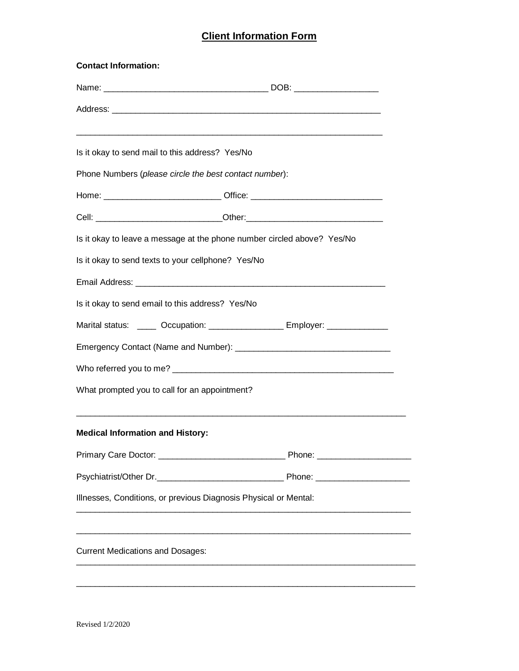## **Client Information Form**

| <b>Contact Information:</b>                                                |                                                                                   |  |  |  |  |
|----------------------------------------------------------------------------|-----------------------------------------------------------------------------------|--|--|--|--|
|                                                                            |                                                                                   |  |  |  |  |
|                                                                            |                                                                                   |  |  |  |  |
| Is it okay to send mail to this address? Yes/No                            |                                                                                   |  |  |  |  |
|                                                                            | Phone Numbers (please circle the best contact number):                            |  |  |  |  |
|                                                                            | Home: ___________________________________ Office: _______________________________ |  |  |  |  |
|                                                                            |                                                                                   |  |  |  |  |
|                                                                            | Is it okay to leave a message at the phone number circled above? Yes/No           |  |  |  |  |
| Is it okay to send texts to your cellphone? Yes/No                         |                                                                                   |  |  |  |  |
|                                                                            |                                                                                   |  |  |  |  |
| Is it okay to send email to this address? Yes/No                           |                                                                                   |  |  |  |  |
| Marital status: _____ Occupation: _________________ Employer: ____________ |                                                                                   |  |  |  |  |
|                                                                            |                                                                                   |  |  |  |  |
|                                                                            |                                                                                   |  |  |  |  |
| What prompted you to call for an appointment?                              |                                                                                   |  |  |  |  |
| <b>Medical Information and History:</b>                                    |                                                                                   |  |  |  |  |
|                                                                            |                                                                                   |  |  |  |  |
|                                                                            |                                                                                   |  |  |  |  |
|                                                                            | Illnesses, Conditions, or previous Diagnosis Physical or Mental:                  |  |  |  |  |
| <b>Current Medications and Dosages:</b>                                    |                                                                                   |  |  |  |  |
|                                                                            |                                                                                   |  |  |  |  |